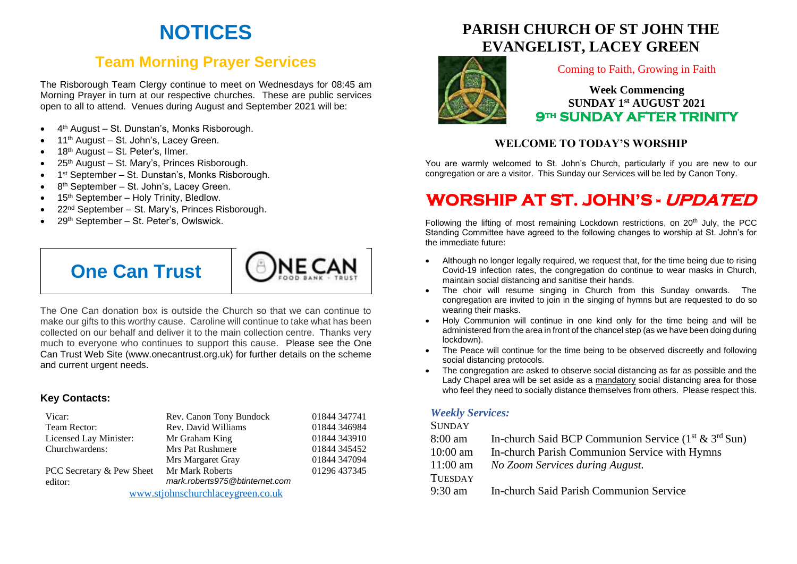# **NOTICES**

# **Team Morning Prayer Services**

The Risborough Team Clergy continue to meet on Wednesdays for 08:45 am Morning Prayer in turn at our respective churches. These are public services open to all to attend. Venues during August and September 2021 will be:

- 4<sup>th</sup> August St. Dunstan's, Monks Risborough.
- 11<sup>th</sup> August St. John's, Lacey Green.
- 18<sup>th</sup> August St. Peter's, Ilmer.
- 25<sup>th</sup> August St. Mary's, Princes Risborough.
- 1<sup>st</sup> September St. Dunstan's, Monks Risborough.
- 8<sup>th</sup> September St. John's, Lacey Green.
- 15<sup>th</sup> September Holy Trinity, Bledlow.
- 22<sup>nd</sup> September St. Mary's, Princes Risborough.
- 29<sup>th</sup> September St. Peter's, Owlswick.





The One Can donation box is outside the Church so that we can continue to make our gifts to this worthy cause. Caroline will continue to take what has been collected on our behalf and deliver it to the main collection centre. Thanks very much to everyone who continues to support this cause. Please see the One Can Trust Web Site (www.onecantrust.org.uk) for further details on the scheme and current urgent needs.

### **Key Contacts:**

| Vicar:                            | Rev. Canon Tony Bundock        | 01844 347741 |
|-----------------------------------|--------------------------------|--------------|
| Team Rector:                      | Rev. David Williams            | 01844 346984 |
| Licensed Lay Minister:            | Mr Graham King                 | 01844 343910 |
| Churchwardens:                    | <b>Mrs Pat Rushmere</b>        | 01844 345452 |
|                                   | Mrs Margaret Gray              | 01844 347094 |
| PCC Secretary & Pew Sheet         | <b>Mr Mark Roberts</b>         | 01296 437345 |
| editor:                           | mark.roberts975@btinternet.com |              |
| www.stjohnschurchlaceygreen.co.uk |                                |              |

# **PARISH CHURCH OF ST JOHN THE EVANGELIST, LACEY GREEN**



#### Coming to Faith, Growing in Faith

## **Week Commencing SUNDAY 1 st AUGUST 2021 9th SUNDAY AFTER TRINITY**

## **WELCOME TO TODAY'S WORSHIP**

You are warmly welcomed to St. John's Church, particularly if you are new to our congregation or are a visitor. This Sunday our Services will be led by Canon Tony.

# **WORSHIP AT ST. JOHN'S - UPDATED**

Following the lifting of most remaining Lockdown restrictions, on  $20<sup>th</sup>$  July, the PCC Standing Committee have agreed to the following changes to worship at St. John's for the immediate future:

- Although no longer legally required, we request that, for the time being due to rising Covid-19 infection rates, the congregation do continue to wear masks in Church, maintain social distancing and sanitise their hands.
- The choir will resume singing in Church from this Sunday onwards. The congregation are invited to join in the singing of hymns but are requested to do so wearing their masks.
- Holy Communion will continue in one kind only for the time being and will be administered from the area in front of the chancel step (as we have been doing during lockdown).
- The Peace will continue for the time being to be observed discreetly and following social distancing protocols.
- The congregation are asked to observe social distancing as far as possible and the Lady Chapel area will be set aside as a mandatory social distancing area for those who feel they need to socially distance themselves from others. Please respect this.

### *Weekly Services:*

#### **SUNDAY**

- 8:00 am In-church Said BCP Communion Service  $(1<sup>st</sup> & 3<sup>rd</sup> Sun)$
- 10:00 am In-church Parish Communion Service with Hymns
- 11:00 am *No Zoom Services during August.*

#### **TUESDAY**

9:30 am In-church Said Parish Communion Service